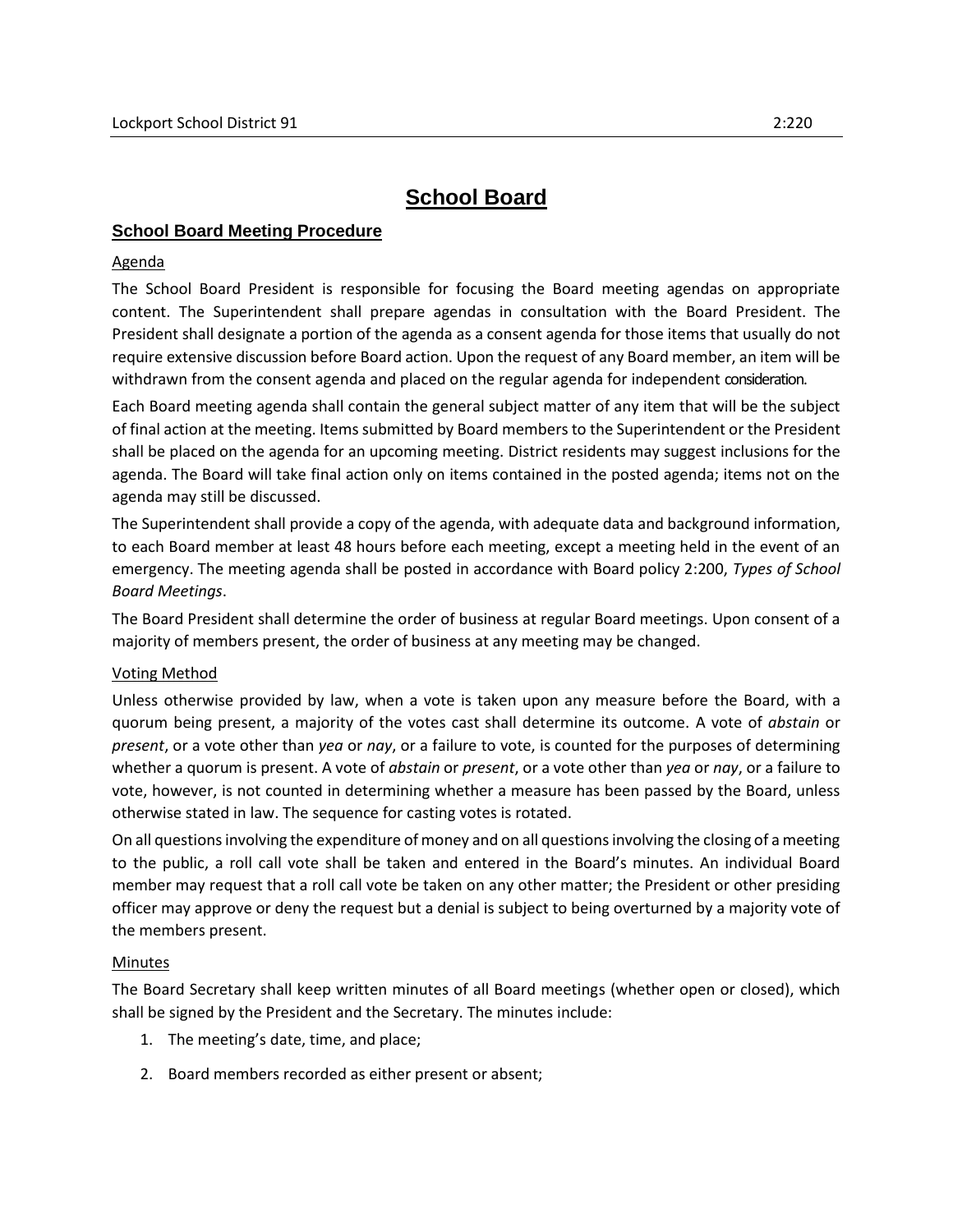# **School Board**

# **School Board Meeting Procedure**

## Agenda

The School Board President is responsible for focusing the Board meeting agendas on appropriate content. The Superintendent shall prepare agendas in consultation with the Board President. The President shall designate a portion of the agenda as a consent agenda for those items that usually do not require extensive discussion before Board action. Upon the request of any Board member, an item will be withdrawn from the consent agenda and placed on the regular agenda for independent consideration.

Each Board meeting agenda shall contain the general subject matter of any item that will be the subject of final action at the meeting. Items submitted by Board members to the Superintendent or the President shall be placed on the agenda for an upcoming meeting. District residents may suggest inclusions for the agenda. The Board will take final action only on items contained in the posted agenda; items not on the agenda may still be discussed.

The Superintendent shall provide a copy of the agenda, with adequate data and background information, to each Board member at least 48 hours before each meeting, except a meeting held in the event of an emergency. The meeting agenda shall be posted in accordance with Board policy 2:200, *Types of School Board Meetings*.

The Board President shall determine the order of business at regular Board meetings. Upon consent of a majority of members present, the order of business at any meeting may be changed.

#### Voting Method

Unless otherwise provided by law, when a vote is taken upon any measure before the Board, with a quorum being present, a majority of the votes cast shall determine its outcome. A vote of *abstain* or *present*, or a vote other than *yea* or *nay*, or a failure to vote, is counted for the purposes of determining whether a quorum is present. A vote of *abstain* or *present*, or a vote other than *yea* or *nay*, or a failure to vote, however, is not counted in determining whether a measure has been passed by the Board, unless otherwise stated in law. The sequence for casting votes is rotated.

On all questions involving the expenditure of money and on all questions involving the closing of a meeting to the public, a roll call vote shall be taken and entered in the Board's minutes. An individual Board member may request that a roll call vote be taken on any other matter; the President or other presiding officer may approve or deny the request but a denial is subject to being overturned by a majority vote of the members present.

#### Minutes

The Board Secretary shall keep written minutes of all Board meetings (whether open or closed), which shall be signed by the President and the Secretary. The minutes include:

- 1. The meeting's date, time, and place;
- 2. Board members recorded as either present or absent;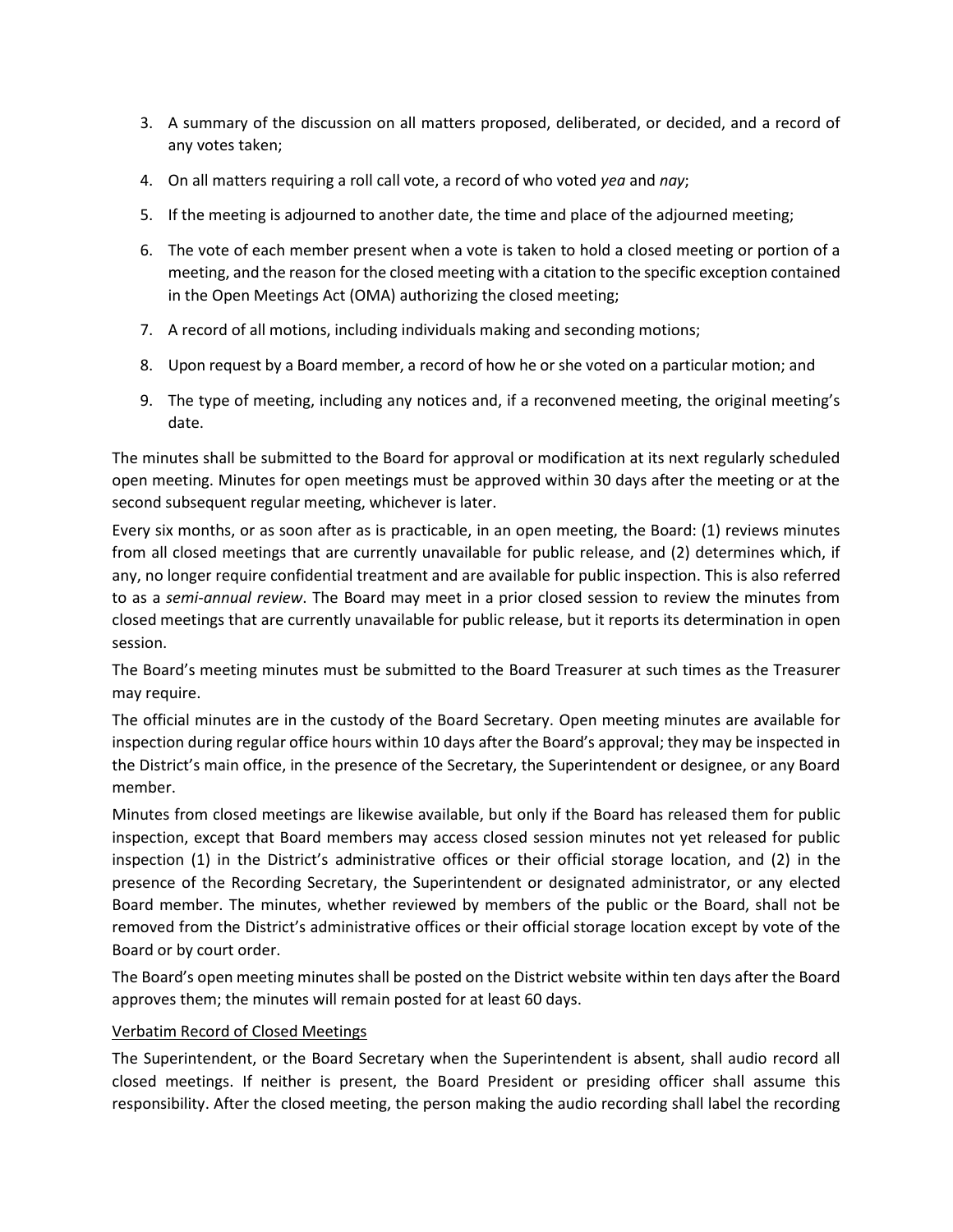- 3. A summary of the discussion on all matters proposed, deliberated, or decided, and a record of any votes taken;
- 4. On all matters requiring a roll call vote, a record of who voted *yea* and *nay*;
- 5. If the meeting is adjourned to another date, the time and place of the adjourned meeting;
- 6. The vote of each member present when a vote is taken to hold a closed meeting or portion of a meeting, and the reason for the closed meeting with a citation to the specific exception contained in the Open Meetings Act (OMA) authorizing the closed meeting;
- 7. A record of all motions, including individuals making and seconding motions;
- 8. Upon request by a Board member, a record of how he or she voted on a particular motion; and
- 9. The type of meeting, including any notices and, if a reconvened meeting, the original meeting's date.

The minutes shall be submitted to the Board for approval or modification at its next regularly scheduled open meeting. Minutes for open meetings must be approved within 30 days after the meeting or at the second subsequent regular meeting, whichever is later.

Every six months, or as soon after as is practicable, in an open meeting, the Board: (1) reviews minutes from all closed meetings that are currently unavailable for public release, and (2) determines which, if any, no longer require confidential treatment and are available for public inspection. This is also referred to as a *semi-annual review*. The Board may meet in a prior closed session to review the minutes from closed meetings that are currently unavailable for public release, but it reports its determination in open session.

The Board's meeting minutes must be submitted to the Board Treasurer at such times as the Treasurer may require.

The official minutes are in the custody of the Board Secretary. Open meeting minutes are available for inspection during regular office hours within 10 days after the Board's approval; they may be inspected in the District's main office, in the presence of the Secretary, the Superintendent or designee, or any Board member.

Minutes from closed meetings are likewise available, but only if the Board has released them for public inspection, except that Board members may access closed session minutes not yet released for public inspection (1) in the District's administrative offices or their official storage location, and (2) in the presence of the Recording Secretary, the Superintendent or designated administrator, or any elected Board member. The minutes, whether reviewed by members of the public or the Board, shall not be removed from the District's administrative offices or their official storage location except by vote of the Board or by court order.

The Board's open meeting minutes shall be posted on the District website within ten days after the Board approves them; the minutes will remain posted for at least 60 days.

#### Verbatim Record of Closed Meetings

The Superintendent, or the Board Secretary when the Superintendent is absent, shall audio record all closed meetings. If neither is present, the Board President or presiding officer shall assume this responsibility. After the closed meeting, the person making the audio recording shall label the recording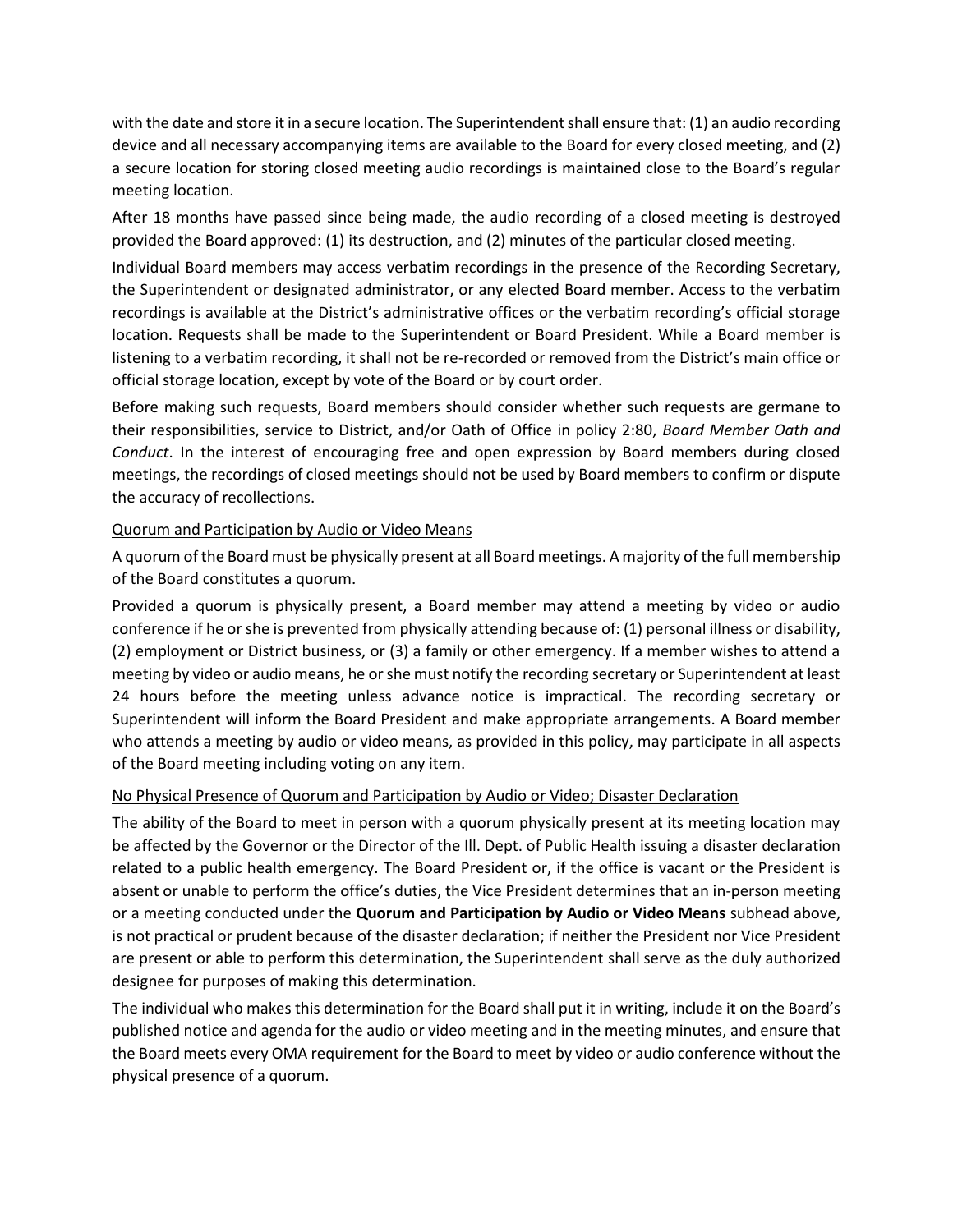with the date and store it in a secure location. The Superintendent shall ensure that: (1) an audio recording device and all necessary accompanying items are available to the Board for every closed meeting, and (2) a secure location for storing closed meeting audio recordings is maintained close to the Board's regular meeting location.

After 18 months have passed since being made, the audio recording of a closed meeting is destroyed provided the Board approved: (1) its destruction, and (2) minutes of the particular closed meeting.

Individual Board members may access verbatim recordings in the presence of the Recording Secretary, the Superintendent or designated administrator, or any elected Board member. Access to the verbatim recordings is available at the District's administrative offices or the verbatim recording's official storage location. Requests shall be made to the Superintendent or Board President. While a Board member is listening to a verbatim recording, it shall not be re-recorded or removed from the District's main office or official storage location, except by vote of the Board or by court order.

Before making such requests, Board members should consider whether such requests are germane to their responsibilities, service to District, and/or Oath of Office in policy 2:80, *Board Member Oath and Conduct*. In the interest of encouraging free and open expression by Board members during closed meetings, the recordings of closed meetings should not be used by Board members to confirm or dispute the accuracy of recollections.

# Quorum and Participation by Audio or Video Means

A quorum of the Board must be physically present at all Board meetings. A majority of the full membership of the Board constitutes a quorum.

Provided a quorum is physically present, a Board member may attend a meeting by video or audio conference if he or she is prevented from physically attending because of: (1) personal illness or disability, (2) employment or District business, or (3) a family or other emergency. If a member wishes to attend a meeting by video or audio means, he or she must notify the recording secretary or Superintendent at least 24 hours before the meeting unless advance notice is impractical. The recording secretary or Superintendent will inform the Board President and make appropriate arrangements. A Board member who attends a meeting by audio or video means, as provided in this policy, may participate in all aspects of the Board meeting including voting on any item.

# No Physical Presence of Quorum and Participation by Audio or Video; Disaster Declaration

The ability of the Board to meet in person with a quorum physically present at its meeting location may be affected by the Governor or the Director of the Ill. Dept. of Public Health issuing a disaster declaration related to a public health emergency. The Board President or, if the office is vacant or the President is absent or unable to perform the office's duties, the Vice President determines that an in-person meeting or a meeting conducted under the **Quorum and Participation by Audio or Video Means** subhead above, is not practical or prudent because of the disaster declaration; if neither the President nor Vice President are present or able to perform this determination, the Superintendent shall serve as the duly authorized designee for purposes of making this determination.

The individual who makes this determination for the Board shall put it in writing, include it on the Board's published notice and agenda for the audio or video meeting and in the meeting minutes, and ensure that the Board meets every OMA requirement for the Board to meet by video or audio conference without the physical presence of a quorum.